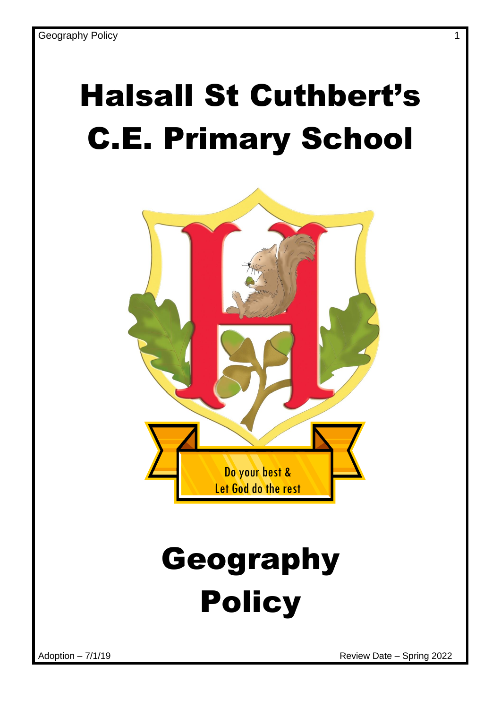# Halsall St Cuthbert's C.E. Primary School



# Geography Policy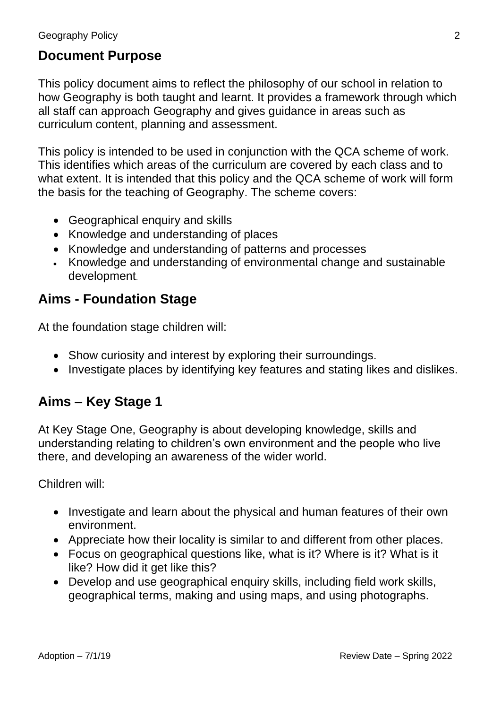#### **Document Purpose**

This policy document aims to reflect the philosophy of our school in relation to how Geography is both taught and learnt. It provides a framework through which all staff can approach Geography and gives guidance in areas such as curriculum content, planning and assessment.

This policy is intended to be used in conjunction with the QCA scheme of work. This identifies which areas of the curriculum are covered by each class and to what extent. It is intended that this policy and the QCA scheme of work will form the basis for the teaching of Geography. The scheme covers:

- Geographical enquiry and skills
- Knowledge and understanding of places
- Knowledge and understanding of patterns and processes
- Knowledge and understanding of environmental change and sustainable development.

#### **Aims - Foundation Stage**

At the foundation stage children will:

- Show curiosity and interest by exploring their surroundings.
- Investigate places by identifying key features and stating likes and dislikes.

#### **Aims – Key Stage 1**

At Key Stage One, Geography is about developing knowledge, skills and understanding relating to children's own environment and the people who live there, and developing an awareness of the wider world.

Children will:

- Investigate and learn about the physical and human features of their own environment.
- Appreciate how their locality is similar to and different from other places.
- Focus on geographical questions like, what is it? Where is it? What is it like? How did it get like this?
- Develop and use geographical enquiry skills, including field work skills, geographical terms, making and using maps, and using photographs.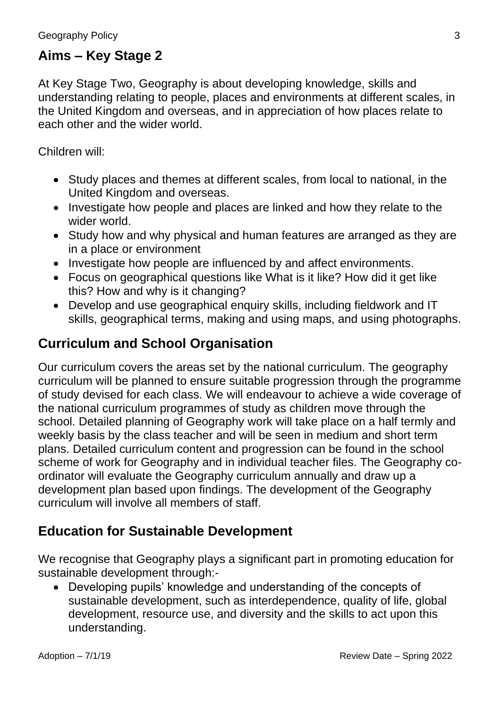#### **Aims – Key Stage 2**

At Key Stage Two, Geography is about developing knowledge, skills and understanding relating to people, places and environments at different scales, in the United Kingdom and overseas, and in appreciation of how places relate to each other and the wider world.

Children will:

- Study places and themes at different scales, from local to national, in the United Kingdom and overseas.
- Investigate how people and places are linked and how they relate to the wider world.
- Study how and why physical and human features are arranged as they are in a place or environment
- Investigate how people are influenced by and affect environments.
- Focus on geographical questions like What is it like? How did it get like this? How and why is it changing?
- Develop and use geographical enquiry skills, including fieldwork and IT skills, geographical terms, making and using maps, and using photographs.

#### **Curriculum and School Organisation**

Our curriculum covers the areas set by the national curriculum. The geography curriculum will be planned to ensure suitable progression through the programme of study devised for each class. We will endeavour to achieve a wide coverage of the national curriculum programmes of study as children move through the school. Detailed planning of Geography work will take place on a half termly and weekly basis by the class teacher and will be seen in medium and short term plans. Detailed curriculum content and progression can be found in the school scheme of work for Geography and in individual teacher files. The Geography coordinator will evaluate the Geography curriculum annually and draw up a development plan based upon findings. The development of the Geography curriculum will involve all members of staff.

#### **Education for Sustainable Development**

We recognise that Geography plays a significant part in promoting education for sustainable development through:-

 Developing pupils' knowledge and understanding of the concepts of sustainable development, such as interdependence, quality of life, global development, resource use, and diversity and the skills to act upon this understanding.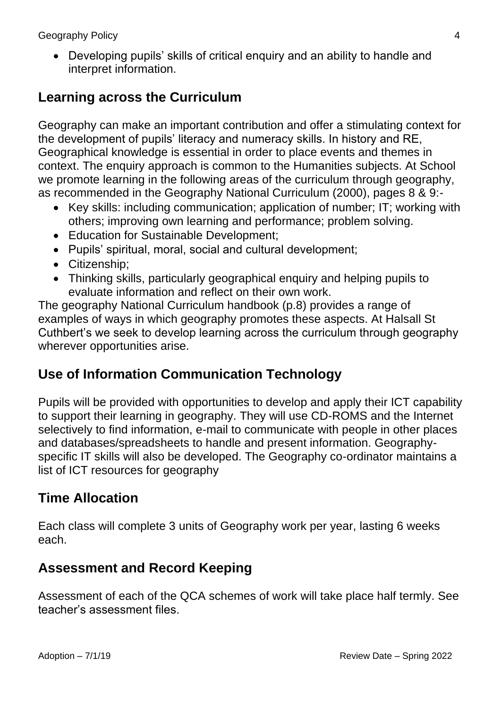Geography Policy 4

• Developing pupils' skills of critical enquiry and an ability to handle and interpret information.

#### **Learning across the Curriculum**

Geography can make an important contribution and offer a stimulating context for the development of pupils' literacy and numeracy skills. In history and RE, Geographical knowledge is essential in order to place events and themes in context. The enquiry approach is common to the Humanities subjects. At School we promote learning in the following areas of the curriculum through geography, as recommended in the Geography National Curriculum (2000), pages 8 & 9:-

- Key skills: including communication; application of number: IT; working with others; improving own learning and performance; problem solving.
- Education for Sustainable Development:
- Pupils' spiritual, moral, social and cultural development;
- Citizenship:
- Thinking skills, particularly geographical enquiry and helping pupils to evaluate information and reflect on their own work.

The geography National Curriculum handbook (p.8) provides a range of examples of ways in which geography promotes these aspects. At Halsall St Cuthbert's we seek to develop learning across the curriculum through geography wherever opportunities arise.

#### **Use of Information Communication Technology**

Pupils will be provided with opportunities to develop and apply their ICT capability to support their learning in geography. They will use CD-ROMS and the Internet selectively to find information, e-mail to communicate with people in other places and databases/spreadsheets to handle and present information. Geographyspecific IT skills will also be developed. The Geography co-ordinator maintains a list of ICT resources for geography

### **Time Allocation**

Each class will complete 3 units of Geography work per year, lasting 6 weeks each.

#### **Assessment and Record Keeping**

Assessment of each of the QCA schemes of work will take place half termly. See teacher's assessment files.